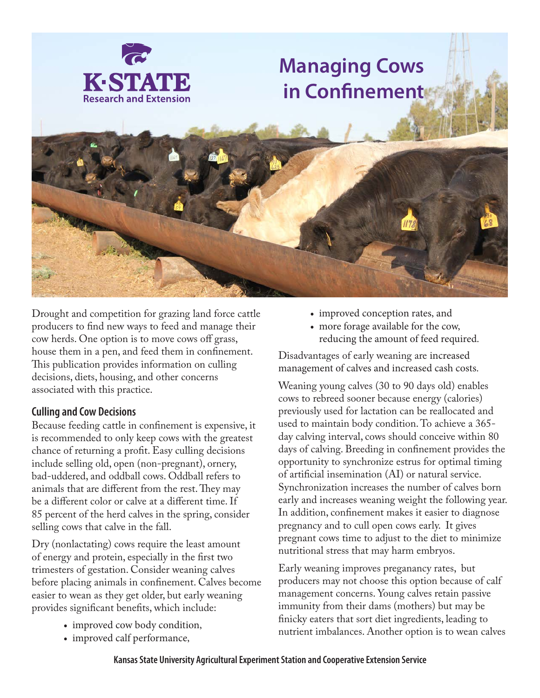

# **Managing Cows in Confinement**



Drought and competition for grazing land force cattle producers to find new ways to feed and manage their cow herds. One option is to move cows off grass, house them in a pen, and feed them in confinement. This publication provides information on culling decisions, diets, housing, and other concerns associated with this practice.

## **Culling and Cow Decisions**

Because feeding cattle in confinement is expensive, it is recommended to only keep cows with the greatest chance of returning a profit. Easy culling decisions include selling old, open (non-pregnant), ornery, bad-uddered, and oddball cows. Oddball refers to animals that are different from the rest. They may be a different color or calve at a different time. If 85 percent of the herd calves in the spring, consider selling cows that calve in the fall.

Dry (nonlactating) cows require the least amount of energy and protein, especially in the first two trimesters of gestation. Consider weaning calves before placing animals in confinement. Calves become easier to wean as they get older, but early weaning provides significant benefits, which include:

- improved cow body condition,
- improved calf performance,
- improved conception rates, and
- more forage available for the cow, reducing the amount of feed required.

Disadvantages of early weaning are increased management of calves and increased cash costs.

Weaning young calves (30 to 90 days old) enables cows to rebreed sooner because energy (calories) previously used for lactation can be reallocated and used to maintain body condition. To achieve a 365 day calving interval, cows should conceive within 80 days of calving. Breeding in confinement provides the opportunity to synchronize estrus for optimal timing of artificial insemination (AI) or natural service. Synchronization increases the number of calves born early and increases weaning weight the following year. In addition, confinement makes it easier to diagnose pregnancy and to cull open cows early. It gives pregnant cows time to adjust to the diet to minimize nutritional stress that may harm embryos.

Early weaning improves preganancy rates, but producers may not choose this option because of calf management concerns. Young calves retain passive immunity from their dams (mothers) but may be finicky eaters that sort diet ingredients, leading to nutrient imbalances. Another option is to wean calves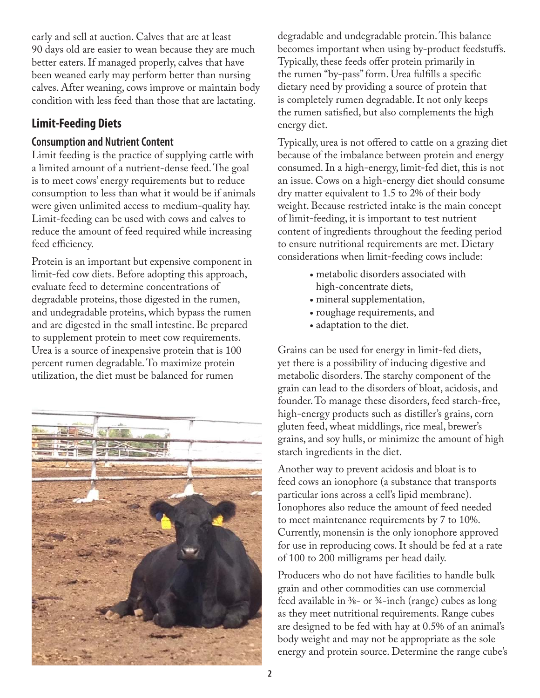early and sell at auction. Calves that are at least 90 days old are easier to wean because they are much better eaters. If managed properly, calves that have been weaned early may perform better than nursing calves. After weaning, cows improve or maintain body condition with less feed than those that are lactating.

# **Limit-Feeding Diets**

## **Consumption and Nutrient Content**

Limit feeding is the practice of supplying cattle with a limited amount of a nutrient-dense feed. The goal is to meet cows' energy requirements but to reduce consumption to less than what it would be if animals were given unlimited access to medium-quality hay. Limit-feeding can be used with cows and calves to reduce the amount of feed required while increasing feed efficiency.

Protein is an important but expensive component in limit-fed cow diets. Before adopting this approach, evaluate feed to determine concentrations of degradable proteins, those digested in the rumen, and undegradable proteins, which bypass the rumen and are digested in the small intestine. Be prepared to supplement protein to meet cow requirements. Urea is a source of inexpensive protein that is 100 percent rumen degradable. To maximize protein utilization, the diet must be balanced for rumen



degradable and undegradable protein. This balance becomes important when using by-product feedstuffs. Typically, these feeds offer protein primarily in the rumen "by-pass" form. Urea fulfills a specific dietary need by providing a source of protein that is completely rumen degradable. It not only keeps the rumen satisfied, but also complements the high energy diet.

Typically, urea is not offered to cattle on a grazing diet because of the imbalance between protein and energy consumed. In a high-energy, limit-fed diet, this is not an issue. Cows on a high-energy diet should consume dry matter equivalent to 1.5 to 2% of their body weight. Because restricted intake is the main concept of limit-feeding, it is important to test nutrient content of ingredients throughout the feeding period to ensure nutritional requirements are met. Dietary considerations when limit-feeding cows include:

- metabolic disorders associated with high-concentrate diets,
- mineral supplementation,
- roughage requirements, and
- adaptation to the diet.

Grains can be used for energy in limit-fed diets, yet there is a possibility of inducing digestive and metabolic disorders. The starchy component of the grain can lead to the disorders of bloat, acidosis, and founder. To manage these disorders, feed starch-free, high-energy products such as distiller's grains, corn gluten feed, wheat middlings, rice meal, brewer's grains, and soy hulls, or minimize the amount of high starch ingredients in the diet.

Another way to prevent acidosis and bloat is to feed cows an ionophore (a substance that transports particular ions across a cell's lipid membrane). Ionophores also reduce the amount of feed needed to meet maintenance requirements by 7 to 10%. Currently, monensin is the only ionophore approved for use in reproducing cows. It should be fed at a rate of 100 to 200 milligrams per head daily.

Producers who do not have facilities to handle bulk grain and other commodities can use commercial feed available in ⅜- or ¾-inch (range) cubes as long as they meet nutritional requirements. Range cubes are designed to be fed with hay at 0.5% of an animal's body weight and may not be appropriate as the sole energy and protein source. Determine the range cube's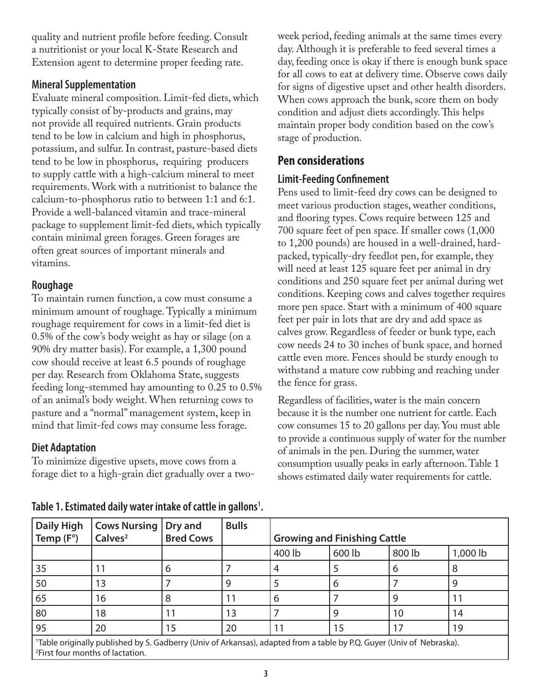quality and nutrient profile before feeding. Consult a nutritionist or your local K-State Research and Extension agent to determine proper feeding rate.

## **Mineral Supplementation**

Evaluate mineral composition. Limit-fed diets, which typically consist of by-products and grains, may not provide all required nutrients. Grain products tend to be low in calcium and high in phosphorus, potassium, and sulfur. In contrast, pasture-based diets tend to be low in phosphorus, requiring producers to supply cattle with a high-calcium mineral to meet requirements. Work with a nutritionist to balance the calcium-to-phosphorus ratio to between 1:1 and 6:1. Provide a well-balanced vitamin and trace-mineral package to supplement limit-fed diets, which typically contain minimal green forages. Green forages are often great sources of important minerals and vitamins.

## **Roughage**

To maintain rumen function, a cow must consume a minimum amount of roughage. Typically a minimum roughage requirement for cows in a limit-fed diet is 0.5% of the cow's body weight as hay or silage (on a 90% dry matter basis). For example, a 1,300 pound cow should receive at least 6.5 pounds of roughage per day. Research from Oklahoma State, suggests feeding long-stemmed hay amounting to 0.25 to 0.5% of an animal's body weight. When returning cows to pasture and a "normal" management system, keep in mind that limit-fed cows may consume less forage.

## **Diet Adaptation**

To minimize digestive upsets, move cows from a forage diet to a high-grain diet gradually over a twoweek period, feeding animals at the same times every day. Although it is preferable to feed several times a day, feeding once is okay if there is enough bunk space for all cows to eat at delivery time. Observe cows daily for signs of digestive upset and other health disorders. When cows approach the bunk, score them on body condition and adjust diets accordingly. This helps maintain proper body condition based on the cow's stage of production.

# **Pen considerations**

## **Limit-Feeding Confinement**

Pens used to limit-feed dry cows can be designed to meet various production stages, weather conditions, and flooring types. Cows require between 125 and 700 square feet of pen space. If smaller cows (1,000 to 1,200 pounds) are housed in a well-drained, hardpacked, typically-dry feedlot pen, for example, they will need at least 125 square feet per animal in dry conditions and 250 square feet per animal during wet conditions. Keeping cows and calves together requires more pen space. Start with a minimum of 400 square feet per pair in lots that are dry and add space as calves grow. Regardless of feeder or bunk type, each cow needs 24 to 30 inches of bunk space, and horned cattle even more. Fences should be sturdy enough to withstand a mature cow rubbing and reaching under the fence for grass.

Regardless of facilities, water is the main concern because it is the number one nutrient for cattle. Each cow consumes 15 to 20 gallons per day. You must able to provide a continuous supply of water for the number of animals in the pen. During the summer, water consumption usually peaks in early afternoon. Table 1 shows estimated daily water requirements for cattle.

| <b>Daily High</b>                                                                                                                                                                 | <b>Cows Nursing</b> | Dry and          | <b>Bulls</b> |                                     |        |        |          |
|-----------------------------------------------------------------------------------------------------------------------------------------------------------------------------------|---------------------|------------------|--------------|-------------------------------------|--------|--------|----------|
| Temp $(F^{\circ})$                                                                                                                                                                | Calves <sup>2</sup> | <b>Bred Cows</b> |              | <b>Growing and Finishing Cattle</b> |        |        |          |
|                                                                                                                                                                                   |                     |                  |              | 400 lb                              | 600 lb | 800 lb | 1,000 lb |
| 35                                                                                                                                                                                |                     | 6                |              | 4                                   |        | b      | 8        |
| 50                                                                                                                                                                                | 3                   |                  | 9            |                                     | 6      |        |          |
| 65                                                                                                                                                                                | 16                  | 8                | 11           | 6                                   |        | q      |          |
| 80                                                                                                                                                                                | 18                  |                  | 13           |                                     | q      | 10     | 14       |
| 95                                                                                                                                                                                | 20                  | 15               | 20           |                                     | 15     | 17     | 19       |
| <sup>1</sup> Table originally published by S. Gadberry (Univ of Arkansas), adapted from a table by P.Q. Guyer (Univ of Nebraska).<br><sup>2</sup> First four months of lactation. |                     |                  |              |                                     |        |        |          |

Table 1. Estimated daily water intake of cattle in gallons<sup>1</sup>.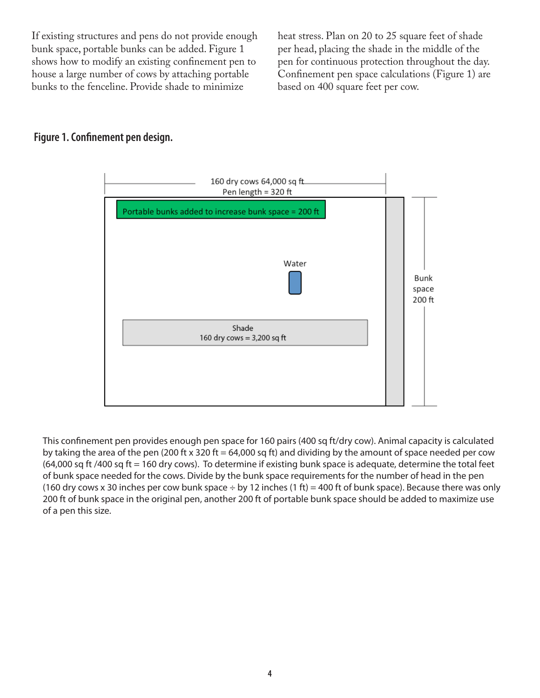If existing structures and pens do not provide enough bunk space, portable bunks can be added. Figure 1 shows how to modify an existing confinement pen to house a large number of cows by attaching portable bunks to the fenceline. Provide shade to minimize

heat stress. Plan on 20 to 25 square feet of shade per head, placing the shade in the middle of the pen for continuous protection throughout the day. Confinement pen space calculations (Figure 1) are based on 400 square feet per cow.

## **Figure 1. Confinement pen design.**



This confinement pen provides enough pen space for 160 pairs (400 sq ft/dry cow). Animal capacity is calculated by taking the area of the pen (200 ft  $\times$  320 ft = 64,000 sq ft) and dividing by the amount of space needed per cow  $(64,000$  sq ft  $/400$  sq ft = 160 dry cows). To determine if existing bunk space is adequate, determine the total feet of bunk space needed for the cows. Divide by the bunk space requirements for the number of head in the pen (160 dry cows x 30 inches per cow bunk space  $\div$  by 12 inches (1 ft) = 400 ft of bunk space). Because there was only 200 ft of bunk space in the original pen, another 200 ft of portable bunk space should be added to maximize use of a pen this size.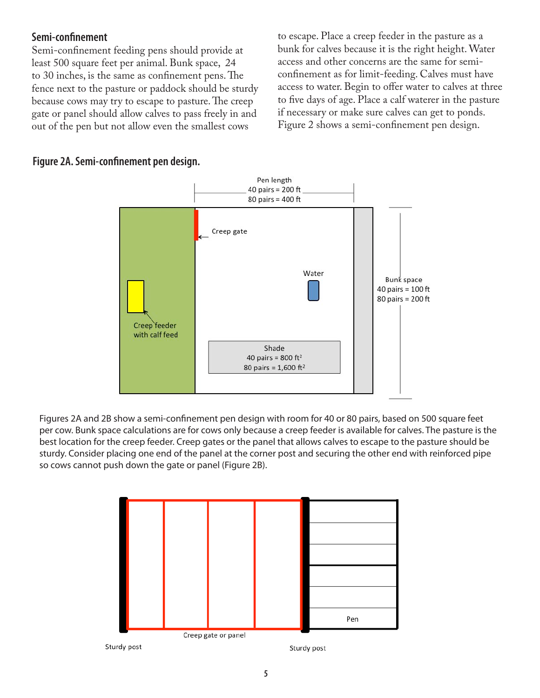## **Semi-confinement**

Semi-confinement feeding pens should provide at least 500 square feet per animal. Bunk space, 24 to 30 inches, is the same as confinement pens. The fence next to the pasture or paddock should be sturdy because cows may try to escape to pasture. The creep gate or panel should allow calves to pass freely in and out of the pen but not allow even the smallest cows

to escape. Place a creep feeder in the pasture as a bunk for calves because it is the right height. Water access and other concerns are the same for semiconfinement as for limit-feeding. Calves must have access to water. Begin to offer water to calves at three to five days of age. Place a calf waterer in the pasture if necessary or make sure calves can get to ponds. Figure 2 shows a semi-confinement pen design.





Figures 2A and 2B show a semi-confinement pen design with room for 40 or 80 pairs, based on 500 square feet per cow. Bunk space calculations are for cows only because a creep feeder is available for calves. The pasture is the best location for the creep feeder. Creep gates or the panel that allows calves to escape to the pasture should be sturdy. Consider placing one end of the panel at the corner post and securing the other end with reinforced pipe so cows cannot push down the gate or panel (Figure 2B).



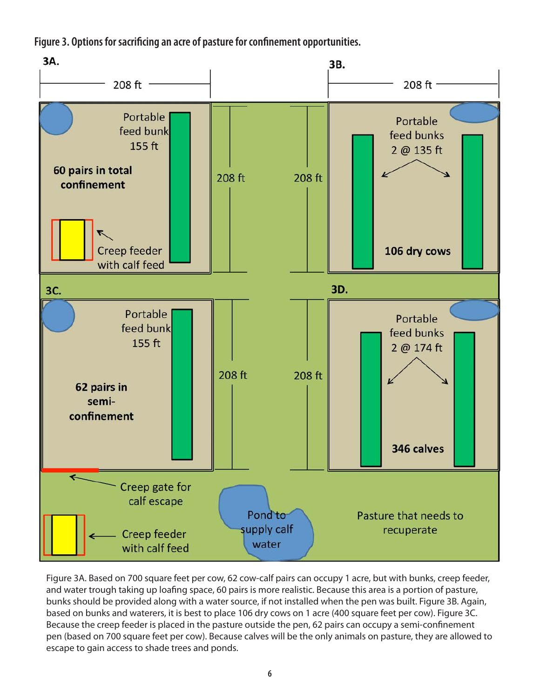**Figure 3. Options for sacrificing an acre of pasture for confinement opportunities.**



Figure 3A. Based on 700 square feet per cow, 62 cow-calf pairs can occupy 1 acre, but with bunks, creep feeder, and water trough taking up loafing space, 60 pairs is more realistic. Because this area is a portion of pasture, bunks should be provided along with a water source, if not installed when the pen was built. Figure 3B. Again, based on bunks and waterers, it is best to place 106 dry cows on 1 acre (400 square feet per cow). Figure 3C. Because the creep feeder is placed in the pasture outside the pen, 62 pairs can occupy a semi-confinement pen (based on 700 square feet per cow). Because calves will be the only animals on pasture, they are allowed to escape to gain access to shade trees and ponds.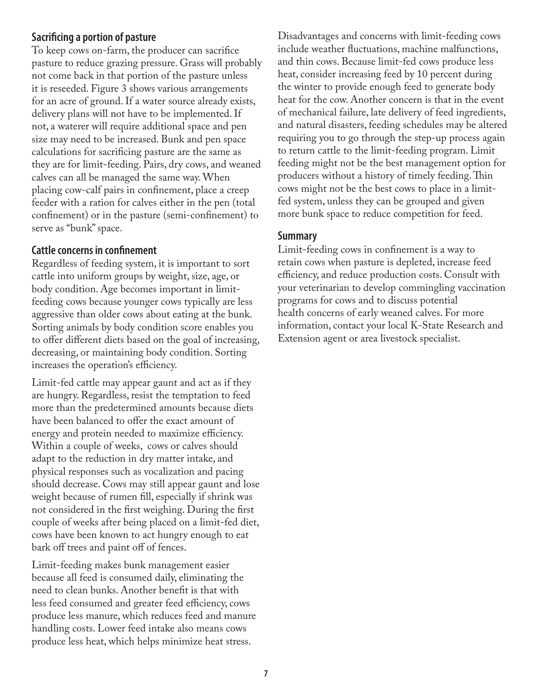## **Sacrificing a portion of pasture**

To keep cows on-farm, the producer can sacrifice pasture to reduce grazing pressure. Grass will probably not come back in that portion of the pasture unless it is reseeded. Figure 3 shows various arrangements for an acre of ground. If a water source already exists, delivery plans will not have to be implemented. If not, a waterer will require additional space and pen size may need to be increased. Bunk and pen space calculations for sacrificing pasture are the same as they are for limit-feeding. Pairs, dry cows, and weaned calves can all be managed the same way. When placing cow-calf pairs in confinement, place a creep feeder with a ration for calves either in the pen (total confinement) or in the pasture (semi-confinement) to serve as "bunk" space.

#### **Cattle concerns in confinement**

Regardless of feeding system, it is important to sort cattle into uniform groups by weight, size, age, or body condition. Age becomes important in limitfeeding cows because younger cows typically are less aggressive than older cows about eating at the bunk. Sorting animals by body condition score enables you to offer different diets based on the goal of increasing, decreasing, or maintaining body condition. Sorting increases the operation's efficiency.

Limit-fed cattle may appear gaunt and act as if they are hungry. Regardless, resist the temptation to feed more than the predetermined amounts because diets have been balanced to offer the exact amount of energy and protein needed to maximize efficiency. Within a couple of weeks, cows or calves should adapt to the reduction in dry matter intake, and physical responses such as vocalization and pacing should decrease. Cows may still appear gaunt and lose weight because of rumen fill, especially if shrink was not considered in the first weighing. During the first couple of weeks after being placed on a limit-fed diet, cows have been known to act hungry enough to eat bark off trees and paint off of fences.

Limit-feeding makes bunk management easier because all feed is consumed daily, eliminating the need to clean bunks. Another benefit is that with less feed consumed and greater feed efficiency, cows produce less manure, which reduces feed and manure handling costs. Lower feed intake also means cows produce less heat, which helps minimize heat stress.

Disadvantages and concerns with limit-feeding cows include weather fluctuations, machine malfunctions, and thin cows. Because limit-fed cows produce less heat, consider increasing feed by 10 percent during the winter to provide enough feed to generate body heat for the cow. Another concern is that in the event of mechanical failure, late delivery of feed ingredients, and natural disasters, feeding schedules may be altered requiring you to go through the step-up process again to return cattle to the limit-feeding program. Limit feeding might not be the best management option for producers without a history of timely feeding. Thin cows might not be the best cows to place in a limitfed system, unless they can be grouped and given more bunk space to reduce competition for feed.

## **Summary**

Limit-feeding cows in confinement is a way to retain cows when pasture is depleted, increase feed efficiency, and reduce production costs. Consult with your veterinarian to develop commingling vaccination programs for cows and to discuss potential health concerns of early weaned calves. For more information, contact your local K-State Research and Extension agent or area livestock specialist.